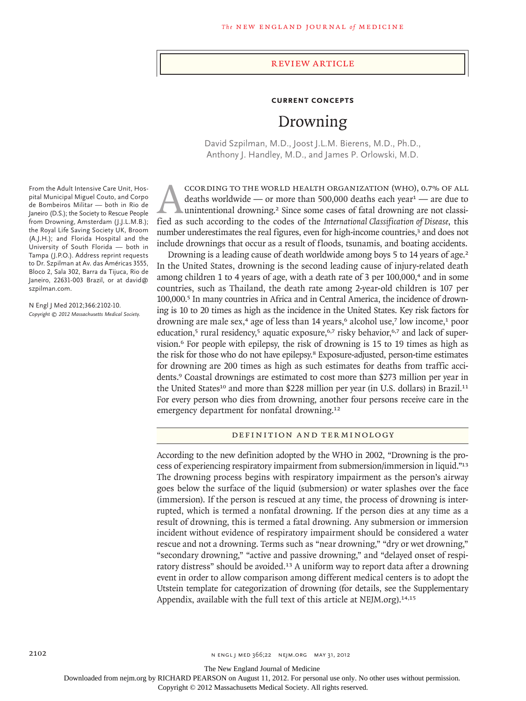### Review article

### **Current Concepts**

# Drowning

David Szpilman, M.D., Joost J.L.M. Bierens, M.D., Ph.D., Anthony J. Handley, M.D., and James P. Orlowski, M.D.

CCORDING TO THE WORLD HEALTH ORGANIZATION (WHO), 0.7% OF ALL<br>deaths worldwide — or more than 500,000 deaths each year<sup>1</sup> — are due to<br>unintentional drowning.<sup>2</sup> Since some cases of fatal drowning are not classi-<br>fied as su deaths worldwide — or more than 500,000 deaths each year<sup>1</sup> — are due to unintentional drowning.<sup>2</sup> Since some cases of fatal drowning are not classified as such according to the codes of the *International Classification of Disease*, this number underestimates the real figures, even for high-income countries,<sup>3</sup> and does not include drownings that occur as a result of floods, tsunamis, and boating accidents.

Drowning is a leading cause of death worldwide among boys 5 to 14 years of age.<sup>2</sup> In the United States, drowning is the second leading cause of injury-related death among children 1 to 4 years of age, with a death rate of 3 per 100,000,<sup>4</sup> and in some countries, such as Thailand, the death rate among 2-year-old children is 107 per 100,000.<sup>5</sup> In many countries in Africa and in Central America, the incidence of drowning is 10 to 20 times as high as the incidence in the United States. Key risk factors for drowning are male sex,<sup>4</sup> age of less than 14 years, $6$  alcohol use,<sup>7</sup> low income,<sup>1</sup> poor education,<sup>5</sup> rural residency,<sup>5</sup> aquatic exposure,<sup>6,7</sup> risky behavior,<sup>6,7</sup> and lack of supervision.<sup>6</sup> For people with epilepsy, the risk of drowning is 15 to 19 times as high as the risk for those who do not have epilepsy.<sup>8</sup> Exposure-adjusted, person-time estimates for drowning are 200 times as high as such estimates for deaths from traffic accidents.<sup>9</sup> Coastal drownings are estimated to cost more than \$273 million per year in the United States<sup>10</sup> and more than \$228 million per year (in U.S. dollars) in Brazil.<sup>11</sup> For every person who dies from drowning, another four persons receive care in the emergency department for nonfatal drowning.<sup>12</sup>

## DEFINITION AND TERMINOLOGY

According to the new definition adopted by the WHO in 2002, "Drowning is the process of experiencing respiratory impairment from submersion/immersion in liquid."<sup>13</sup> The drowning process begins with respiratory impairment as the person's airway goes below the surface of the liquid (submersion) or water splashes over the face (immersion). If the person is rescued at any time, the process of drowning is interrupted, which is termed a nonfatal drowning. If the person dies at any time as a result of drowning, this is termed a fatal drowning. Any submersion or immersion incident without evidence of respiratory impairment should be considered a water rescue and not a drowning. Terms such as "near drowning," "dry or wet drowning," "secondary drowning," "active and passive drowning," and "delayed onset of respiratory distress" should be avoided.<sup>13</sup> A uniform way to report data after a drowning event in order to allow comparison among different medical centers is to adopt the Utstein template for categorization of drowning (for details, see the Supplementary Appendix, available with the full text of this article at NEJM.org).<sup>14,15</sup>

From the Adult Intensive Care Unit, Hospital Municipal Miguel Couto, and Corpo de Bombeiros Militar — both in Rio de Janeiro (D.S.); the Society to Rescue People from Drowning, Amsterdam (J.J.L.M.B.); the Royal Life Saving Society UK, Broom (A.J.H.); and Florida Hospital and the University of South Florida — both in Tampa (J.P.O.). Address reprint requests to Dr. Szpilman at Av. das Américas 3555, Bloco 2, Sala 302, Barra da Tijuca, Rio de Janeiro, 22631-003 Brazil, or at david@ szpilman.com.

N Engl J Med 2012;366:2102-10. *Copyright © 2012 Massachusetts Medical Society.*

The New England Journal of Medicine

Downloaded from nejm.org by RICHARD PEARSON on August 11, 2012. For personal use only. No other uses without permission.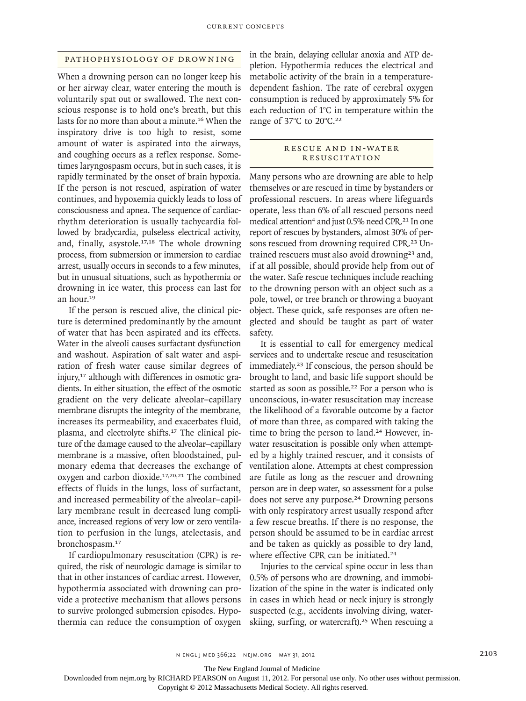## PATHOPHYSIOLOGY OF DROWNING

When a drowning person can no longer keep his or her airway clear, water entering the mouth is voluntarily spat out or swallowed. The next conscious response is to hold one's breath, but this lasts for no more than about a minute.<sup>16</sup> When the inspiratory drive is too high to resist, some amount of water is aspirated into the airways, and coughing occurs as a reflex response. Sometimes laryngospasm occurs, but in such cases, it is rapidly terminated by the onset of brain hypoxia. If the person is not rescued, aspiration of water continues, and hypoxemia quickly leads to loss of consciousness and apnea. The sequence of cardiacrhythm deterioration is usually tachycardia followed by bradycardia, pulseless electrical activity, and, finally, asystole.<sup>17,18</sup> The whole drowning process, from submersion or immersion to cardiac arrest, usually occurs in seconds to a few minutes, but in unusual situations, such as hypothermia or drowning in ice water, this process can last for an hour.<sup>19</sup>

If the person is rescued alive, the clinical picture is determined predominantly by the amount of water that has been aspirated and its effects. Water in the alveoli causes surfactant dysfunction and washout. Aspiration of salt water and aspiration of fresh water cause similar degrees of injury,<sup>17</sup> although with differences in osmotic gradients. In either situation, the effect of the osmotic gradient on the very delicate alveolar–capillary membrane disrupts the integrity of the membrane, increases its permeability, and exacerbates fluid, plasma, and electrolyte shifts.<sup>17</sup> The clinical picture of the damage caused to the alveolar–capillary membrane is a massive, often bloodstained, pulmonary edema that decreases the exchange of oxygen and carbon dioxide.<sup>17,20,21</sup> The combined effects of fluids in the lungs, loss of surfactant, and increased permeability of the alveolar–capillary membrane result in decreased lung compliance, increased regions of very low or zero ventilation to perfusion in the lungs, atelectasis, and bronchospasm.<sup>17</sup>

If cardiopulmonary resuscitation (CPR) is required, the risk of neurologic damage is similar to that in other instances of cardiac arrest. However, hypothermia associated with drowning can provide a protective mechanism that allows persons to survive prolonged submersion episodes. Hypothermia can reduce the consumption of oxygen in the brain, delaying cellular anoxia and ATP depletion. Hypothermia reduces the electrical and metabolic activity of the brain in a temperaturedependent fashion. The rate of cerebral oxygen consumption is reduced by approximately 5% for each reduction of 1°C in temperature within the range of 37°C to 20°C.<sup>22</sup>

## R ESCUE A ND IN-WATER **RESUSCITATION**

Many persons who are drowning are able to help themselves or are rescued in time by bystanders or professional rescuers. In areas where lifeguards operate, less than 6% of all rescued persons need medical attention<sup>4</sup> and just 0.5% need CPR.<sup>21</sup> In one report of rescues by bystanders, almost 30% of persons rescued from drowning required CPR.<sup>23</sup> Untrained rescuers must also avoid drowning<sup>23</sup> and, if at all possible, should provide help from out of the water. Safe rescue techniques include reaching to the drowning person with an object such as a pole, towel, or tree branch or throwing a buoyant object. These quick, safe responses are often neglected and should be taught as part of water safety.

It is essential to call for emergency medical services and to undertake rescue and resuscitation immediately.<sup>23</sup> If conscious, the person should be brought to land, and basic life support should be started as soon as possible.<sup>22</sup> For a person who is unconscious, in-water resuscitation may increase the likelihood of a favorable outcome by a factor of more than three, as compared with taking the time to bring the person to land.<sup>24</sup> However, inwater resuscitation is possible only when attempted by a highly trained rescuer, and it consists of ventilation alone. Attempts at chest compression are futile as long as the rescuer and drowning person are in deep water, so assessment for a pulse does not serve any purpose.<sup>24</sup> Drowning persons with only respiratory arrest usually respond after a few rescue breaths. If there is no response, the person should be assumed to be in cardiac arrest and be taken as quickly as possible to dry land, where effective CPR can be initiated.<sup>24</sup>

Injuries to the cervical spine occur in less than 0.5% of persons who are drowning, and immobilization of the spine in the water is indicated only in cases in which head or neck injury is strongly suspected (e.g., accidents involving diving, waterskiing, surfing, or watercraft).<sup>25</sup> When rescuing a

The New England Journal of Medicine

Downloaded from nejm.org by RICHARD PEARSON on August 11, 2012. For personal use only. No other uses without permission.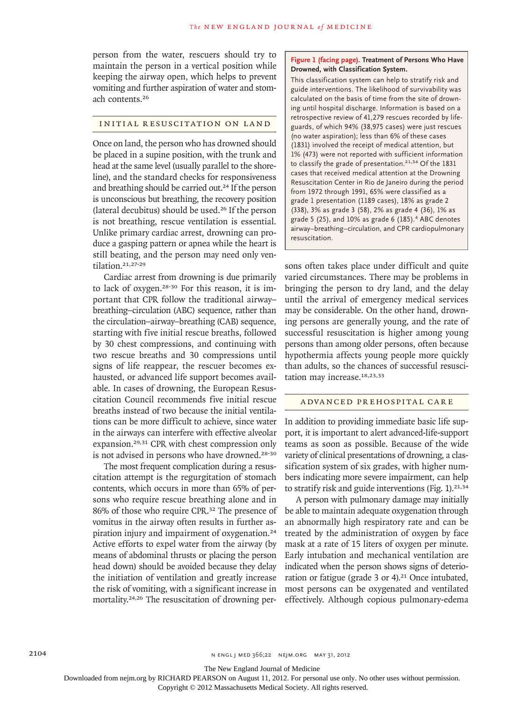person from the water, rescuers should try to maintain the person in a vertical position while keeping the airway open, which helps to prevent vomiting and further aspiration of water and stomach contents.<sup>26</sup>

## INITIAL RESUSCITATION ON LAND

Once on land, the personwho has drowned should be placed in a supine position, with the trunk and head at the same level (usually parallel to the shoreline), and the standard checks for responsiveness and breathing should be carried out.<sup>24</sup> If the person is unconscious but breathing, the recovery position (lateral decubitus) should be used.<sup>26</sup> If the person is not breathing, rescue ventilation is essential. Unlike primary cardiac arrest, drowning can produce a gasping pattern or apnea while the heart is still beating, and the person may need only ventilation.21,27-29

Cardiac arrest from drowning is due primarily to lack of oxygen.28-30 For this reason, it is important that CPR follow the traditional airway– breathing–circulation (ABC) sequence, rather than the circulation–airway–breathing (CAB) sequence, starting with five initial rescue breaths, followed by 30 chest compressions, and continuing with two rescue breaths and 30 compressions until signs of life reappear, the rescuer becomes exhausted, or advanced life support becomes available. In cases of drowning, the European Resuscitation Council recommends five initial rescue breaths instead of two because the initial ventilations can be more difficult to achieve, since water in the airways can interfere with effective alveolar expansion.29,31 CPR with chest compression only is not advised in persons who have drowned.<sup>28-30</sup>

The most frequent complication during a resuscitation attempt is the regurgitation of stomach contents, which occurs in more than 65% of persons who require rescue breathing alone and in 86% of those who require CPR.<sup>32</sup> The presence of vomitus in the airway often results in further aspiration injury and impairment of oxygenation.<sup>24</sup> Active efforts to expel water from the airway (by means of abdominal thrusts or placing the person head down) should be avoided because they delay the initiation of ventilation and greatly increase the risk of vomiting, with a significant increase in mortality.24,26 The resuscitation of drowning per-

## **Figure 1 (facing page). Treatment of Persons Who Have Drowned, with Classification System.**

This classification system can help to stratify risk and guide interventions. The likelihood of survivability was calculated on the basis of time from the site of drowning until hospital discharge. Information is based on a retrospective review of 41,279 rescues recorded by lifeguards, of which 94% (38,975 cases) were just rescues (no water aspiration); less than 6% of these cases (1831) involved the receipt of medical attention, but 1% (473) were not reported with sufficient information to classify the grade of presentation. $21,34$  Of the 1831 cases that received medical attention at the Drowning Resuscitation Center in Rio de Janeiro during the period from 1972 through 1991, 65% were classified as a grade 1 presentation (1189 cases), 18% as grade 2 (338), 3% as grade 3 (58), 2% as grade 4 (36), 1% as grade 5 (25), and  $10\%$  as grade 6 (185).<sup>4</sup> ABC denotes airway–breathing–circulation, and CPR cardiopulmonary resuscitation.

sons often takes place under difficult and quite varied circumstances. There may be problems in bringing the person to dry land, and the delay until the arrival of emergency medical services may be considerable. On the other hand, drowning persons are generally young, and the rate of successful resuscitation is higher among young persons than among older persons, often because hypothermia affects young people more quickly than adults, so the chances of successful resuscitation may increase.<sup>18,23,33</sup>

## A DVANCED PREHOSPITAL CARE

In addition to providing immediate basic life support, it is important to alert advanced-life-support teams as soon as possible. Because of the wide variety of clinical presentations of drowning, a classification system of six grades, with higher numbers indicating more severe impairment, can help to stratify risk and guide interventions (Fig.  $1$ ).<sup>21,34</sup>

A person with pulmonary damage may initially be able to maintain adequate oxygenation through an abnormally high respiratory rate and can be treated by the administration of oxygen by face mask at a rate of 15 liters of oxygen per minute. Early intubation and mechanical ventilation are indicated when the person shows signs of deterioration or fatigue (grade 3 or 4).<sup>21</sup> Once intubated, most persons can be oxygenated and ventilated effectively. Although copious pulmonary-edema

The New England Journal of Medicine

Downloaded from nejm.org by RICHARD PEARSON on August 11, 2012. For personal use only. No other uses without permission.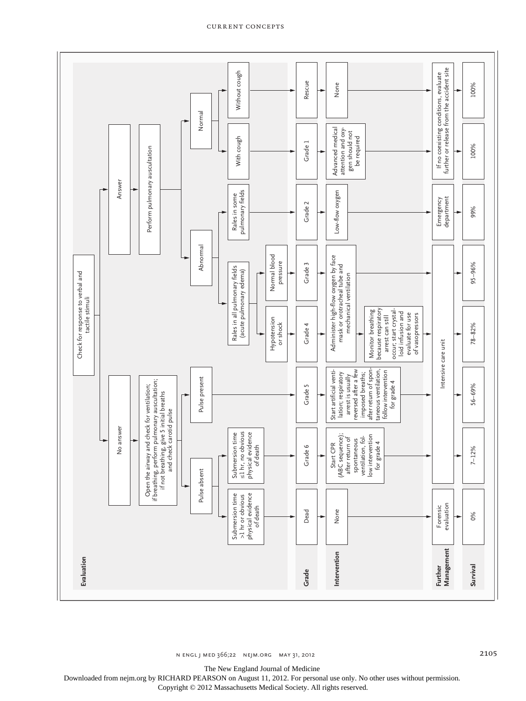

#### current concepts

Downloaded from nejm.org by RICHARD PEARSON on August 11, 2012. For personal use only. No other uses without permission.

Copyright © 2012 Massachusetts Medical Society. All rights reserved.

The New England Journal of Medicine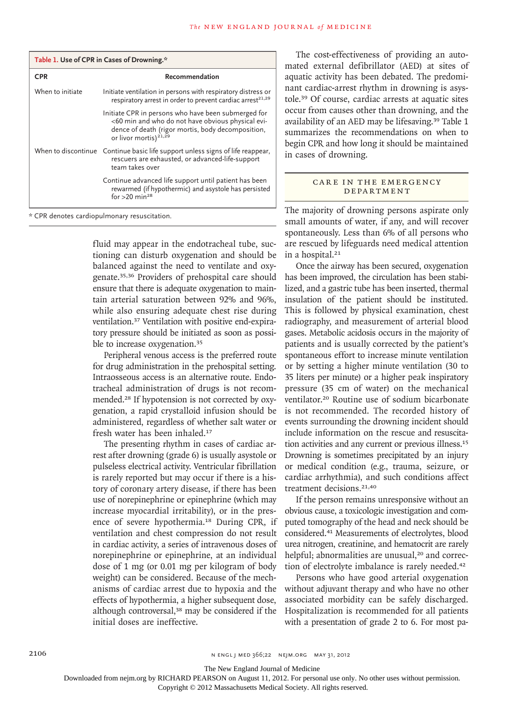| Table 1. Use of CPR in Cases of Drowning.* |                                                                                                                                                                                                    |
|--------------------------------------------|----------------------------------------------------------------------------------------------------------------------------------------------------------------------------------------------------|
| <b>CPR</b>                                 | Recommendation                                                                                                                                                                                     |
| When to initiate                           | Initiate ventilation in persons with respiratory distress or<br>respiratory arrest in order to prevent cardiac arrest <sup>21,29</sup>                                                             |
|                                            | Initiate CPR in persons who have been submerged for<br><60 min and who do not have obvious physical evi-<br>dence of death (rigor mortis, body decomposition,<br>or livor mortis) <sup>21,29</sup> |
|                                            | When to discontinue Continue basic life support unless signs of life reappear,<br>rescuers are exhausted, or advanced-life-support<br>team takes over                                              |
|                                            | Continue advanced life support until patient has been<br>rewarmed (if hypothermic) and asystole has persisted<br>for $>20$ min <sup>28</sup>                                                       |

\* CPR denotes cardiopulmonary resuscitation.

fluid may appear in the endotracheal tube, suctioning can disturb oxygenation and should be balanced against the need to ventilate and oxygenate.35,36 Providers of prehospital care should ensure that there is adequate oxygenation to maintain arterial saturation between 92% and 96%, while also ensuring adequate chest rise during ventilation.<sup>37</sup> Ventilation with positive end-expiratory pressure should be initiated as soon as possible to increase oxygenation.<sup>35</sup>

Peripheral venous access is the preferred route for drug administration in the prehospital setting. Intraosseous access is an alternative route. Endotracheal administration of drugs is not recommended.<sup>28</sup> If hypotension is not corrected by oxygenation, a rapid crystalloid infusion should be administered, regardless of whether salt water or fresh water has been inhaled.<sup>17</sup>

The presenting rhythm in cases of cardiac arrest after drowning (grade 6) is usually asystole or pulseless electrical activity. Ventricular fibrillation is rarely reported but may occur if there is a history of coronary artery disease, if there has been use of norepinephrine or epinephrine (which may increase myocardial irritability), or in the presence of severe hypothermia.<sup>18</sup> During CPR, if ventilation and chest compression do not result in cardiac activity, a series of intravenous doses of norepinephrine or epinephrine, at an individual dose of 1 mg (or 0.01 mg per kilogram of body weight) can be considered. Because of the mechanisms of cardiac arrest due to hypoxia and the effects of hypothermia, a higher subsequent dose, although controversal,<sup>38</sup> may be considered if the initial doses are ineffective.

The cost-effectiveness of providing an automated external defibrillator (AED) at sites of aquatic activity has been debated. The predominant cardiac-arrest rhythm in drowning is asystole.<sup>39</sup> Of course, cardiac arrests at aquatic sites occur from causes other than drowning, and the availability of an AED may be lifesaving.<sup>39</sup> Table 1 summarizes the recommendations on when to begin CPR and how long it should be maintained in cases of drowning.

## CARE IN THE EMERGENCY **DEPARTMENT**

The majority of drowning persons aspirate only small amounts of water, if any, and will recover spontaneously. Less than 6% of all persons who are rescued by lifeguards need medical attention in a hospital.<sup>21</sup>

Once the airway has been secured, oxygenation has been improved, the circulation has been stabilized, and a gastric tube has been inserted, thermal insulation of the patient should be instituted. This is followed by physical examination, chest radiography, and measurement of arterial blood gases. Metabolic acidosis occurs in the majority of patients and is usually corrected by the patient's spontaneous effort to increase minute ventilation or by setting a higher minute ventilation (30 to 35 liters per minute) or a higher peak inspiratory pressure (35 cm of water) on the mechanical ventilator.<sup>20</sup> Routine use of sodium bicarbonate is not recommended. The recorded history of events surrounding the drowning incident should include information on the rescue and resuscitation activities and any current or previous illness.<sup>15</sup> Drowning is sometimes precipitated by an injury or medical condition (e.g., trauma, seizure, or cardiac arrhythmia), and such conditions affect treatment decisions.<sup>21,40</sup>

If the person remains unresponsive without an obvious cause, a toxicologic investigation and computed tomography of the head and neck should be considered.<sup>41</sup> Measurements of electrolytes, blood urea nitrogen, creatinine, and hematocrit are rarely helpful; abnormalities are unusual,<sup>20</sup> and correction of electrolyte imbalance is rarely needed.<sup>42</sup>

Persons who have good arterial oxygenation without adjuvant therapy and who have no other associated morbidity can be safely discharged. Hospitalization is recommended for all patients with a presentation of grade 2 to 6. For most pa-

The New England Journal of Medicine

Downloaded from nejm.org by RICHARD PEARSON on August 11, 2012. For personal use only. No other uses without permission.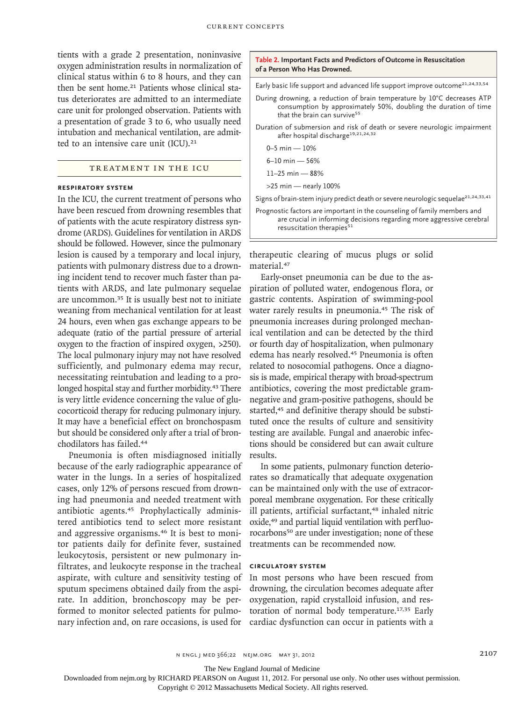tients with a grade 2 presentation, noninvasive oxygen administration results in normalization of clinical status within 6 to 8 hours, and they can then be sent home.<sup>21</sup> Patients whose clinical status deteriorates are admitted to an intermediate care unit for prolonged observation. Patients with a presentation of grade 3 to 6, who usually need intubation and mechanical ventilation, are admitted to an intensive care unit (ICU).<sup>21</sup>

## TREATMENT IN THE ICU

#### **RESPIRATORY SYSTEM**

In the ICU, the current treatment of persons who have been rescued from drowning resembles that of patients with the acute respiratory distress syndrome (ARDS). Guidelines for ventilation in ARDS should be followed. However, since the pulmonary lesion is caused by a temporary and local injury, patients with pulmonary distress due to a drowning incident tend to recover much faster than patients with ARDS, and late pulmonary sequelae are uncommon.<sup>35</sup> It is usually best not to initiate weaning from mechanical ventilation for at least 24 hours, even when gas exchange appears to be adequate (ratio of the partial pressure of arterial oxygen to the fraction of inspired oxygen, >250). The local pulmonary injury may not have resolved sufficiently, and pulmonary edema may recur, necessitating reintubation and leading to a prolonged hospital stay and further morbidity.<sup>43</sup> There is very little evidence concerning the value of glucocorticoid therapy for reducing pulmonary injury. It may have a beneficial effect on bronchospasm but should be considered only after a trial of bronchodilators has failed.<sup>44</sup>

Pneumonia is often misdiagnosed initially because of the early radiographic appearance of water in the lungs. In a series of hospitalized cases, only 12% of persons rescued from drowning had pneumonia and needed treatment with antibiotic agents.<sup>45</sup> Prophylactically administered antibiotics tend to select more resistant and aggressive organisms.<sup>46</sup> It is best to monitor patients daily for definite fever, sustained leukocytosis, persistent or new pulmonary infiltrates, and leukocyte response in the tracheal aspirate, with culture and sensitivity testing of sputum specimens obtained daily from the aspirate. In addition, bronchoscopy may be performed to monitor selected patients for pulmonary infection and, on rare occasions, is used for

#### **Table 2. Important Facts and Predictors of Outcome in Resuscitation of a Person Who Has Drowned.**

Early basic life support and advanced life support improve outcome<sup>21,24,33,54</sup>

- During drowning, a reduction of brain temperature by 10°C decreases ATP consumption by approximately 50%, doubling the duration of time that the brain can survive<sup>55</sup>
- Duration of submersion and risk of death or severe neurologic impairment after hospital discharge<sup>19,21,24,32</sup>

0–5 min — 10%

6–10 min — 56%

11–25 min — 88%

>25 min — nearly 100%

Signs of brain-stem injury predict death or severe neurologic sequelae<sup>21,24,33,41</sup>

Prognostic factors are important in the counseling of family members and are crucial in informing decisions regarding more aggressive cerebral resuscitation therapies $51$ 

therapeutic clearing of mucus plugs or solid material.<sup>47</sup>

Early-onset pneumonia can be due to the aspiration of polluted water, endogenous flora, or gastric contents. Aspiration of swimming-pool water rarely results in pneumonia.<sup>45</sup> The risk of pneumonia increases during prolonged mechanical ventilation and can be detected by the third or fourth day of hospitalization, when pulmonary edema has nearly resolved.<sup>45</sup> Pneumonia is often related to nosocomial pathogens. Once a diagnosis is made, empirical therapy with broad-spectrum antibiotics, covering the most predictable gramnegative and gram-positive pathogens, should be started,<sup>45</sup> and definitive therapy should be substituted once the results of culture and sensitivity testing are available. Fungal and anaerobic infections should be considered but can await culture results.

In some patients, pulmonary function deteriorates so dramatically that adequate oxygenation can be maintained only with the use of extracorporeal membrane oxygenation. For these critically ill patients, artificial surfactant,<sup>48</sup> inhaled nitric oxide,<sup>49</sup> and partial liquid ventilation with perfluorocarbons<sup>50</sup> are under investigation; none of these treatments can be recommended now.

## **CIRCULATORY SYSTEM**

In most persons who have been rescued from drowning, the circulation becomes adequate after oxygenation, rapid crystalloid infusion, and restoration of normal body temperature.17,35 Early cardiac dysfunction can occur in patients with a

The New England Journal of Medicine

Downloaded from nejm.org by RICHARD PEARSON on August 11, 2012. For personal use only. No other uses without permission.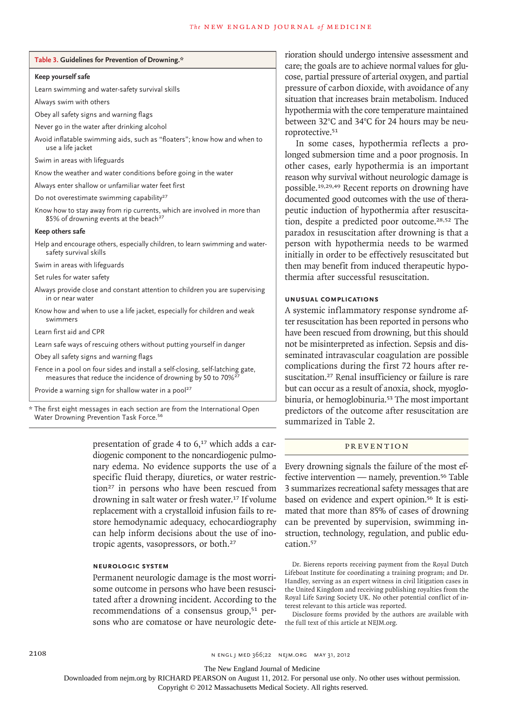#### **Table 3. Guidelines for Prevention of Drowning.\***

#### **Keep yourself safe**

Learn swimming and water-safety survival skills

Always swim with others

Obey all safety signs and warning flags

Never go in the water after drinking alcohol

Avoid inflatable swimming aids, such as "floaters"; know how and when to use a life jacket

Swim in areas with lifeguards

Know the weather and water conditions before going in the water

Always enter shallow or unfamiliar water feet first

Do not overestimate swimming capability<sup>27</sup>

Know how to stay away from rip currents, which are involved in more than 85% of drowning events at the beach<sup>27</sup>

#### **Keep others safe**

Help and encourage others, especially children, to learn swimming and watersafety survival skills

Swim in areas with lifeguards

Set rules for water safety

Always provide close and constant attention to children you are supervising in or near water

Know how and when to use a life jacket, especially for children and weak swimmers

Learn first aid and CPR

Learn safe ways of rescuing others without putting yourself in danger

Obey all safety signs and warning flags

Fence in a pool on four sides and install a self-closing, self-latching gate, measures that reduce the incidence of drowning by 50 to 70%<sup>2</sup>

Provide a warning sign for shallow water in a pool<sup>27</sup>

\* The first eight messages in each section are from the International Open Water Drowning Prevention Task Force.<sup>56</sup>

> presentation of grade 4 to  $6<sub>17</sub>$  which adds a cardiogenic component to the noncardiogenic pulmonary edema. No evidence supports the use of a specific fluid therapy, diuretics, or water restriction<sup>27</sup> in persons who have been rescued from drowning in salt water or fresh water.<sup>17</sup> If volume replacement with a crystalloid infusion fails to restore hemodynamic adequacy, echocardiography can help inform decisions about the use of inotropic agents, vasopressors, or both.<sup>27</sup>

## **NEUROLOGIC SYSTEM**

Permanent neurologic damage is the most worrisome outcome in persons who have been resuscitated after a drowning incident. According to the recommendations of a consensus group,<sup>51</sup> persons who are comatose or have neurologic deterioration should undergo intensive assessment and care; the goals are to achieve normal values for glucose, partial pressure of arterial oxygen, and partial pressure of carbon dioxide, with avoidance of any situation that increases brain metabolism. Induced hypothermia with the core temperature maintained between 32°C and 34°C for 24 hours may be neuroprotective.<sup>51</sup>

In some cases, hypothermia reflects a prolonged submersion time and a poor prognosis. In other cases, early hypothermia is an important reason why survival without neurologic damage is possible.19,29,49 Recent reports on drowning have documented good outcomes with the use of therapeutic induction of hypothermia after resuscitation, despite a predicted poor outcome.28,52 The paradox in resuscitation after drowning is that a person with hypothermia needs to be warmed initially in order to be effectively resuscitated but then may benefit from induced therapeutic hypothermia after successful resuscitation.

#### **UNUSUAL COMPLICATIONS**

A systemic inflammatory response syndrome after resuscitation has been reported in persons who have been rescued from drowning, but this should not be misinterpreted as infection. Sepsis and disseminated intravascular coagulation are possible complications during the first 72 hours after resuscitation.<sup>27</sup> Renal insufficiency or failure is rare but can occur as a result of anoxia, shock, myoglobinuria, or hemoglobinuria.<sup>53</sup> The most important predictors of the outcome after resuscitation are summarized in Table 2.

## PR E V EN TION

Every drowning signals the failure of the most effective intervention — namely, prevention.<sup>56</sup> Table 3 summarizes recreational safety messages that are based on evidence and expert opinion.<sup>56</sup> It is estimated that more than 85% of cases of drowning can be prevented by supervision, swimming instruction, technology, regulation, and public education.<sup>57</sup>

Dr. Bierens reports receiving payment from the Royal Dutch Lifeboat Institute for coordinating a training program; and Dr. Handley, serving as an expert witness in civil litigation cases in the United Kingdom and receiving publishing royalties from the Royal Life Saving Society UK. No other potential conflict of interest relevant to this article was reported.

Disclosure forms provided by the authors are available with the full text of this article at NEJM.org.

The New England Journal of Medicine

Downloaded from nejm.org by RICHARD PEARSON on August 11, 2012. For personal use only. No other uses without permission.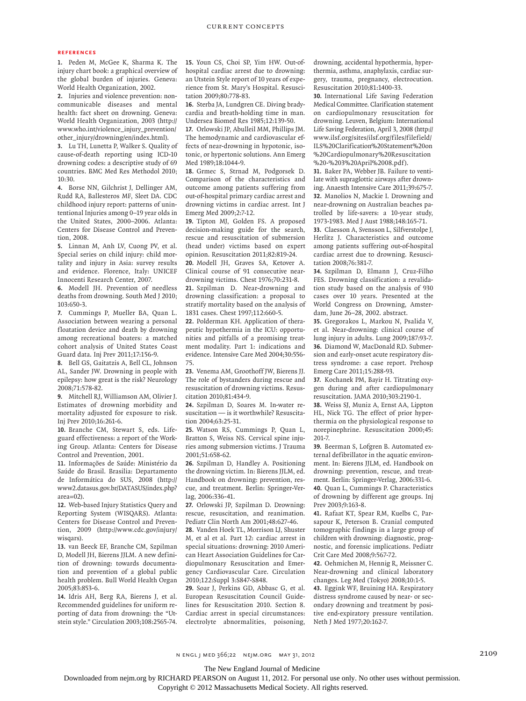#### **REFERENCES**

**1.** Peden M, McGee K, Sharma K. The injury chart book: a graphical overview of the global burden of injuries. Geneva: World Health Organization, 2002.

**2.** Injuries and violence prevention: noncommunicable diseases and mental health: fact sheet on drowning. Geneva: World Health Organization, 2003 (http:// www.who.int/violence\_injury\_prevention/ other\_injury/drowning/en/index.html).

**3.** Lu TH, Lunetta P, Walker S. Quality of cause-of-death reporting using ICD-10 drowning codes: a descriptive study of 69 countries. BMC Med Res Methodol 2010; 10:30.

**4.** Borse NN, Gilchrist J, Dellinger AM, Rudd RA, Ballesteros MF, Sleet DA. CDC childhood injury report: patterns of unintentional Injuries among 0–19 year olds in the United States, 2000–2006. Atlanta: Centers for Disease Control and Prevention, 2008.

**5.** Linnan M, Anh LV, Cuong PV, et al. Special series on child injury: child mortality and injury in Asia: survey results and evidence. Florence, Italy: UNICEF Innocenti Research Center, 2007.

**6.** Modell JH. Prevention of needless deaths from drowning. South Med J 2010; 103:650-3.

**7.** Cummings P, Mueller BA, Quan L. Association between wearing a personal floatation device and death by drowning among recreational boaters: a matched cohort analysis of United States Coast Guard data. Inj Prev 2011;17:156-9.

**8.** Bell GS, Gaitatzis A, Bell CL, Johnson AL, Sander JW. Drowning in people with epilepsy: how great is the risk? Neurology 2008;71:578-82.

**9.** Mitchell RJ, Williamson AM, Olivier J. Estimates of drowning morbidity and mortality adjusted for exposure to risk. Inj Prev 2010;16:261-6.

**10.** Branche CM, Stewart S, eds. Lifeguard effectiveness: a report of the Working Group. Atlanta: Centers for Disease Control and Prevention, 2001.

**11.** Informações de Saúde: Ministério da Saúde do Brasil. Brasilia: Departamento de Informática do SUS, 2008 (http:// www2.datasus.gov.br/DATASUS/index.php? area=02).

**12.** Web-based Injury Statistics Query and Reporting System (WISQARS). Atlanta: Centers for Disease Control and Prevention, 2009 (http://www.cdc.gov/injury/ wisqars).

**13.** van Beeck EF, Branche CM, Szpilman D, Modell JH, Bierens JJLM. A new definition of drowning: towards documentation and prevention of a global public health problem. Bull World Health Organ 2005;83:853-6.

**14.** Idris AH, Berg RA, Bierens J, et al. Recommended guidelines for uniform reporting of data from drowning: the "Utstein style." Circulation 2003;108:2565-74.

**15.** Youn CS, Choi SP, Yim HW. Out-ofhospital cardiac arrest due to drowning: an Utstein Style report of 10 years of experience from St. Mary's Hospital. Resuscitation 2009;80:778-83.

**16.** Sterba JA, Lundgren CE. Diving bradycardia and breath-holding time in man. Undersea Biomed Res 1985;12:139-50.

**17.** Orlowski JP, Abulleil MM, Phillips JM. The hemodynamic and cardiovascular effects of near-drowning in hypotonic, isotonic, or hypertonic solutions. Ann Emerg Med 1989;18:1044-9.

**18.** Grmec S, Strnad M, Podgorsek D. Comparison of the characteristics and outcome among patients suffering from out-of-hospital primary cardiac arrest and drowning victims in cardiac arrest. Int J Emerg Med 2009;2:7-12.

**19.** Tipton MJ, Golden FS. A proposed decision-making guide for the search, rescue and resuscitation of submersion (head under) victims based on expert opinion. Resuscitation 2011;82:819-24. **20.** Modell JH, Graves SA, Ketover A.

Clinical course of 91 consecutive neardrowning victims. Chest 1976;70:231-8.

**21.** Szpilman D. Near-drowning and drowning classification: a proposal to stratify mortality based on the analysis of 1831 cases. Chest 1997;112:660-5.

**22.** Polderman KH. Application of therapeutic hypothermia in the ICU: opportunities and pitfalls of a promising treatment modality. Part 1: indications and evidence. Intensive Care Med 2004;30:556- 75.

**23.** Venema AM, Groothoff JW, Bierens JJ. The role of bystanders during rescue and resuscitation of drowning victims. Resuscitation 2010;81:434-9.

**24.** Szpilman D, Soares M. In-water resuscitation — is it worthwhile? Resuscitation 2004;63:25-31.

**25.** Watson RS, Cummings P, Quan L, Bratton S, Weiss NS. Cervical spine injuries among submersion victims. J Trauma 2001;51:658-62.

**26.** Szpilman D, Handley A. Positioning the drowning victim. In: Bierens JJLM, ed. Handbook on drowning: prevention, rescue, and treatment. Berlin: Springer-Verlag, 2006:336-41.

**27.** Orlowski JP, Szpilman D. Drowning: rescue, resuscitation, and reanimation. Pediatr Clin North Am 2001;48:627-46.

**28.** Vanden Hoek TL, Morrison LJ, Shuster M, et al et al. Part 12: cardiac arrest in special situations: drowning: 2010 American Heart Association Guidelines for Cardiopulmonary Resuscitation and Emergency Cardiovascular Care. Circulation 2010;122:Suppl 3:S847-S848.

**29.** Soar J, Perkins GD, Abbasc G, et al. European Resuscitation Council Guidelines for Resuscitation 2010. Section 8. Cardiac arrest in special circumstances: electrolyte abnormalities, poisoning, drowning, accidental hypothermia, hyperthermia, asthma, anaphylaxis, cardiac surgery, trauma, pregnancy, electrocution. Resuscitation 2010;81:1400-33.

**30.** International Life Saving Federation Medical Committee. Clarification statement on cardiopulmonary resuscitation for drowning. Leuven, Belgium: International Life Saving Federation, April 3, 2008 (http:// www.ilsf.org/sites/ilsf.org/files/filefield/ ILS%20Clarification%20Statement%20on %20Cardiopulmonary%20Resuscitation %20-%203%20April%2008.pdf).

**31.** Baker PA, Webber JB. Failure to ventilate with supraglottic airways after drowning. Anaesth Intensive Care 2011;39:675-7. **32.** Manolios N, Mackie I. Drowning and near-drowning on Australian beaches patrolled by life-savers: a 10-year study, 1973-1983. Med J Aust 1988;148:165-71.

**33.** Claesson A, Svensson L, Silfverstolpe J, Herlitz J. Characteristics and outcome among patients suffering out-of-hospital cardiac arrest due to drowning. Resuscitation 2008;76:381-7.

**34.** Szpilman D, Elmann J, Cruz-Filho FES. Drowning classification: a revalidation study based on the analysis of 930 cases over 10 years. Presented at the World Congress on Drowning, Amsterdam, June 26–28, 2002. abstract.

**35.** Gregorakos L, Markou N, Psalida V, et al. Near-drowning: clinical course of lung injury in adults. Lung 2009;187:93-7. **36.** Diamond W, MacDonald RD. Submersion and early-onset acute respiratory distress syndrome: a case report. Prehosp Emerg Care 2011;15:288-93.

**37.** Kochanek PM, Bayir H. Titrating oxygen during and after cardiopulmonary resuscitation. JAMA 2010;303:2190-1.

**38.** Weiss SJ, Muniz A, Ernst AA, Lippton HL, Nick TG. The effect of prior hyperthermia on the physiological response to norepinephrine. Resuscitation 2000;45: 201-7.

**39.** Beerman S, Lofgren B. Automated external defibrillator in the aquatic environment. In: Bierens JJLM, ed. Handbook on drowning: prevention, rescue, and treatment. Berlin: Springer-Verlag, 2006:331-6. **40.** Quan L, Cummings P. Characteristics of drowning by different age groups. Inj Prev 2003;9:163-8.

**41.** Rafaat KT, Spear RM, Kuelbs C, Parsapour K, Peterson B. Cranial computed tomographic findings in a large group of children with drowning: diagnostic, prognostic, and forensic implications. Pediatr Crit Care Med 2008;9:567-72.

**42.** Oehmichen M, Hennig R, Meissner C. Near-drowning and clinical laboratory changes. Leg Med (Tokyo) 2008;10:1-5.

**43.** Eggink WF, Bruining HA. Respiratory distress syndrome caused by near- or secondary drowning and treatment by positive end-expiratory pressure ventilation. Neth J Med 1977;20:162-7.

n engl j med 366;22 nejm.org may 31, 2012 2109

The New England Journal of Medicine

Downloaded from nejm.org by RICHARD PEARSON on August 11, 2012. For personal use only. No other uses without permission.